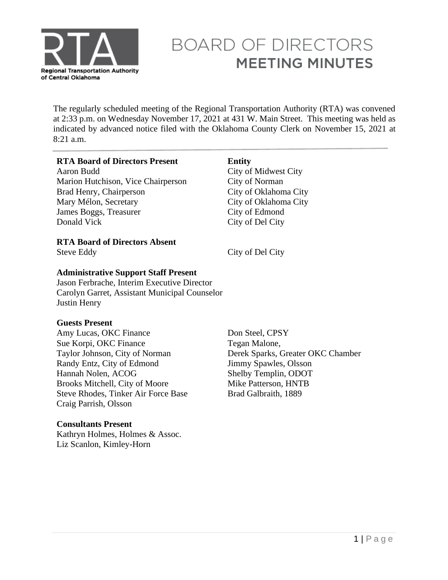

# **BOARD OF DIRECTORS MEETING MINUTES**

The regularly scheduled meeting of the Regional Transportation Authority (RTA) was convened at 2:33 p.m. on Wednesday November 17, 2021 at 431 W. Main Street. This meeting was held as indicated by advanced notice filed with the Oklahoma County Clerk on November 15, 2021 at 8:21 a.m.

### **RTA Board of Directors Present Entity**

Aaron Budd City of Midwest City Marion Hutchison, Vice Chairperson City of Norman Brad Henry, Chairperson City of Oklahoma City Mary Mélon, Secretary James Boggs, Treasurer Donald Vick

**RTA Board of Directors Absent** 

Steve Eddy City of Del City

### **Administrative Support Staff Present**

Jason Ferbrache, Interim Executive Director Carolyn Garret, Assistant Municipal Counselor Justin Henry

# **Guests Present**

Amy Lucas, OKC Finance Sue Korpi, OKC Finance Taylor Johnson, City of Norman Randy Entz, City of Edmond Hannah Nolen, ACOG Brooks Mitchell, City of Moore Steve Rhodes, Tinker Air Force Base Craig Parrish, Olsson

# **Consultants Present**

Kathryn Holmes, Holmes & Assoc. Liz Scanlon, Kimley-Horn

Don Steel, CPSY Tegan Malone, Derek Sparks, Greater OKC Chamber Jimmy Spawles, Olsson Shelby Templin, ODOT Mike Patterson, HNTB Brad Galbraith, 1889

City of Oklahoma City

City of Edmond City of Del City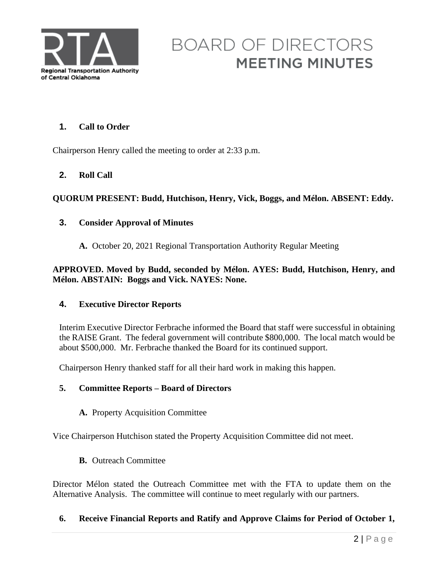

# **BOARD OF DIRECTORS MEETING MINUTES**

# **1. Call to Order**

Chairperson Henry called the meeting to order at 2:33 p.m.

# **2. Roll Call**

# **QUORUM PRESENT: Budd, Hutchison, Henry, Vick, Boggs, and Mélon. ABSENT: Eddy.**

### **3. Consider Approval of Minutes**

**A.** October 20, 2021 Regional Transportation Authority Regular Meeting

## **APPROVED. Moved by Budd, seconded by Mélon. AYES: Budd, Hutchison, Henry, and Mélon. ABSTAIN: Boggs and Vick. NAYES: None.**

#### **4. Executive Director Reports**

Interim Executive Director Ferbrache informed the Board that staff were successful in obtaining the RAISE Grant. The federal government will contribute \$800,000. The local match would be about \$500,000. Mr. Ferbrache thanked the Board for its continued support.

Chairperson Henry thanked staff for all their hard work in making this happen.

#### **5. Committee Reports – Board of Directors**

**A.** Property Acquisition Committee

Vice Chairperson Hutchison stated the Property Acquisition Committee did not meet.

**B.** Outreach Committee

Director Mélon stated the Outreach Committee met with the FTA to update them on the Alternative Analysis. The committee will continue to meet regularly with our partners.

#### **6. Receive Financial Reports and Ratify and Approve Claims for Period of October 1,**